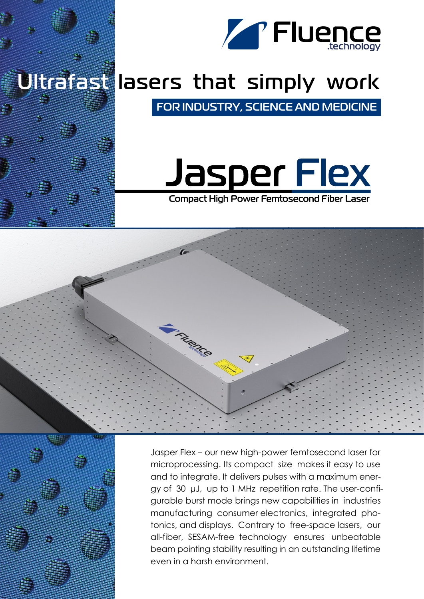

## Ultrafast lasers that simply work

FOR INDUSTRY, SCIENCE AND MEDICINE

# Jasper Flex

**Compact High Power Femtosecond Fiber Laser** 



Jasper Flex – our new high-power femtosecond laser for microprocessing. Its compact size makes it easy to use and to integrate. It delivers pulses with a maximum energy of 30 μJ, up to 1 MHz repetition rate. The user-configurable burst mode brings new capabilities in industries manufacturing consumer electronics, integrated photonics, and displays. Contrary to free-space lasers, our all-fiber, SESAM-free technology ensures unbeatable beam pointing stability resulting in an outstanding lifetime even in a harsh environment.